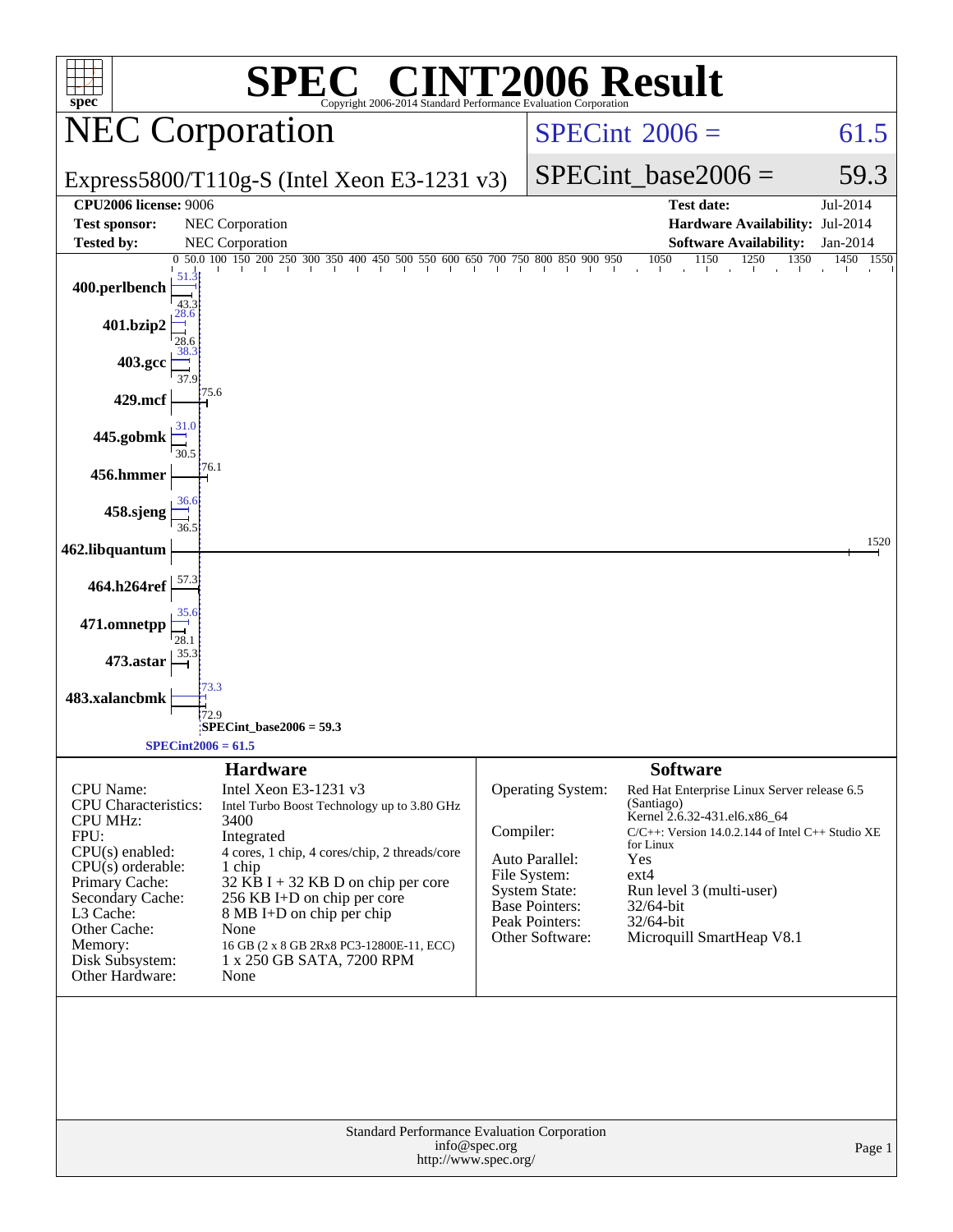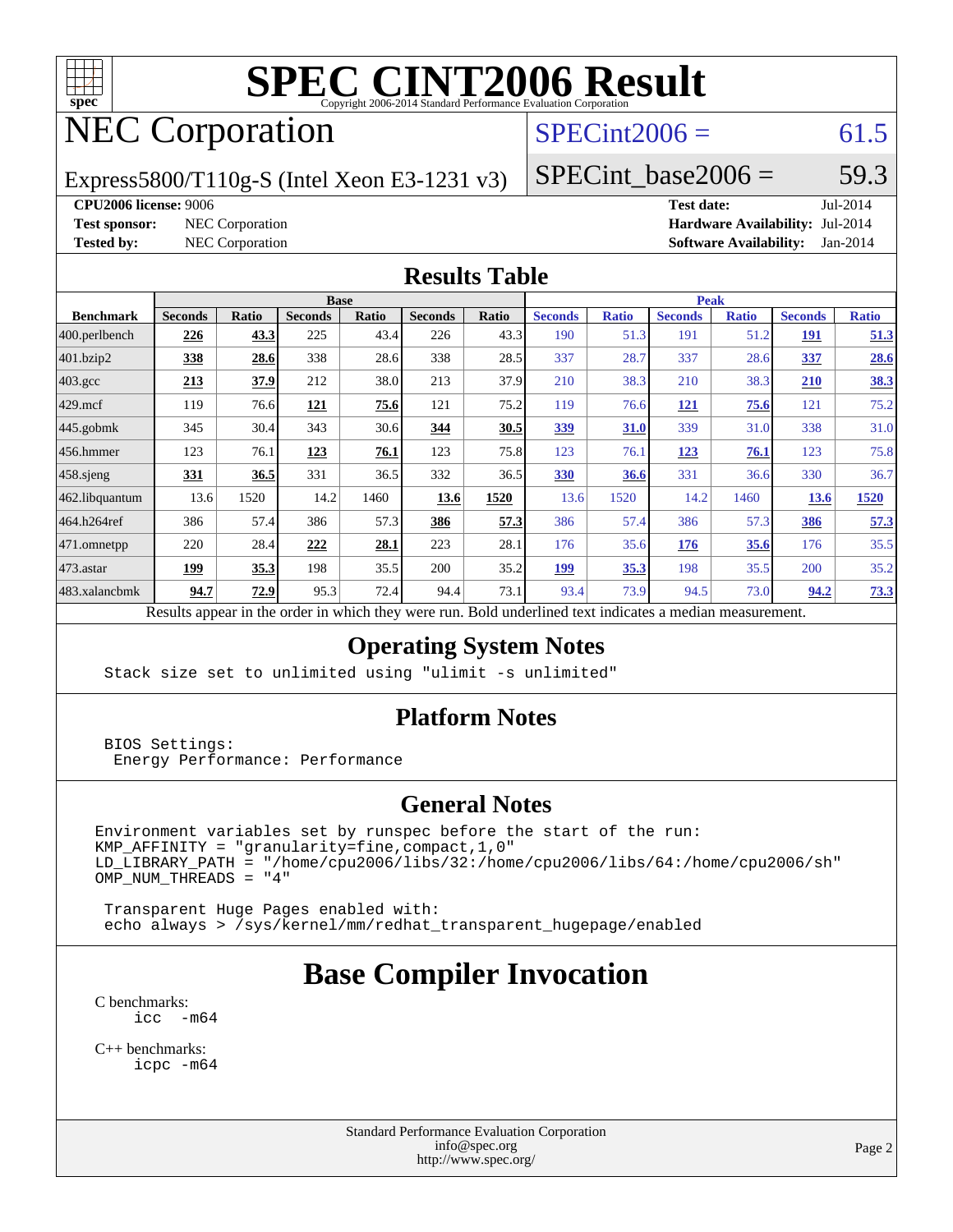

# NEC Corporation

### $SPECint2006 = 61.5$  $SPECint2006 = 61.5$

Express5800/T110g-S (Intel Xeon E3-1231 v3)

 $SPECTnt\_base2006 = 59.3$ 

#### **[CPU2006 license:](http://www.spec.org/auto/cpu2006/Docs/result-fields.html#CPU2006license)** 9006 **[Test date:](http://www.spec.org/auto/cpu2006/Docs/result-fields.html#Testdate)** Jul-2014

**[Test sponsor:](http://www.spec.org/auto/cpu2006/Docs/result-fields.html#Testsponsor)** NEC Corporation **[Hardware Availability:](http://www.spec.org/auto/cpu2006/Docs/result-fields.html#HardwareAvailability)** Jul-2014 **[Tested by:](http://www.spec.org/auto/cpu2006/Docs/result-fields.html#Testedby)** NEC Corporation **[Software Availability:](http://www.spec.org/auto/cpu2006/Docs/result-fields.html#SoftwareAvailability)** Jan-2014

#### **[Results Table](http://www.spec.org/auto/cpu2006/Docs/result-fields.html#ResultsTable)**

|                    | <b>Base</b>    |             |                |       |                |       | <b>Peak</b>    |              |                |              |                |              |
|--------------------|----------------|-------------|----------------|-------|----------------|-------|----------------|--------------|----------------|--------------|----------------|--------------|
| <b>Benchmark</b>   | <b>Seconds</b> | Ratio       | <b>Seconds</b> | Ratio | <b>Seconds</b> | Ratio | <b>Seconds</b> | <b>Ratio</b> | <b>Seconds</b> | <b>Ratio</b> | <b>Seconds</b> | <b>Ratio</b> |
| 400.perlbench      | 226            | <u>43.3</u> | 225            | 43.4  | 226            | 43.3  | 190            | 51.3         | 191            | 51.2         | <u> 191</u>    | 51.3         |
| 401.bzip2          | 338            | 28.6        | 338            | 28.6  | 338            | 28.5  | 337            | 28.7         | 337            | 28.6         | 337            | 28.6         |
| $403.\mathrm{gcc}$ | 213            | <u>37.9</u> | 212            | 38.0  | 213            | 37.9  | 210            | 38.3         | 210            | 38.3         | 210            | 38.3         |
| $429$ .mcf         | 119            | 76.6        | 121            | 75.6  | 121            | 75.2  | 119            | 76.6         | <u> 121</u>    | 75.6         | 121            | 75.2         |
| $445$ .gobmk       | 345            | 30.4        | 343            | 30.6  | 344            | 30.5  | <u>339</u>     | 31.0         | 339            | 31.0         | 338            | 31.0         |
| $456.$ hmmer       | 123            | 76.1        | 123            | 76.1  | 123            | 75.8  | 123            | 76.1         | 123            | 76.1         | 123            | 75.8         |
| $458$ .sjeng       | 331            | 36.5        | 331            | 36.5  | 332            | 36.5  | 330            | 36.6         | 331            | 36.6         | 330            | 36.7         |
| 462.libquantum     | 13.6           | 1520        | 14.2           | 1460  | 13.6           | 1520  | 13.6           | 1520         | 14.2           | 1460         | 13.6           | 1520         |
| 464.h264ref        | 386            | 57.4        | 386            | 57.3  | 386            | 57.3  | 386            | 57.4         | 386            | 57.3         | 386            | 57.3         |
| 471.omnetpp        | 220            | 28.4        | 222            | 28.1  | 223            | 28.1  | 176            | 35.6         | 176            | 35.6         | 176            | 35.5         |
| $473.$ astar       | 199            | 35.3        | 198            | 35.5  | 200            | 35.2  | 199            | 35.3         | 198            | 35.5         | 200            | 35.2         |
| 483.xalancbmk      | 94.7           | 72.9        | 95.3           | 72.4  | 94.4           | 73.1  | 93.4           | 73.9         | 94.5           | 73.0         | 94.2           | 73.3         |

Results appear in the [order in which they were run.](http://www.spec.org/auto/cpu2006/Docs/result-fields.html#RunOrder) Bold underlined text [indicates a median measurement.](http://www.spec.org/auto/cpu2006/Docs/result-fields.html#Median)

#### **[Operating System Notes](http://www.spec.org/auto/cpu2006/Docs/result-fields.html#OperatingSystemNotes)**

Stack size set to unlimited using "ulimit -s unlimited"

#### **[Platform Notes](http://www.spec.org/auto/cpu2006/Docs/result-fields.html#PlatformNotes)**

 BIOS Settings: Energy Performance: Performance

#### **[General Notes](http://www.spec.org/auto/cpu2006/Docs/result-fields.html#GeneralNotes)**

Environment variables set by runspec before the start of the run:  $KMP_A$ FFINITY = "granularity=fine, compact, 1, 0" LD\_LIBRARY\_PATH = "/home/cpu2006/libs/32:/home/cpu2006/libs/64:/home/cpu2006/sh"  $OMP_NUM_THREADS = "4"$ 

 Transparent Huge Pages enabled with: echo always > /sys/kernel/mm/redhat\_transparent\_hugepage/enabled

# **[Base Compiler Invocation](http://www.spec.org/auto/cpu2006/Docs/result-fields.html#BaseCompilerInvocation)**

[C benchmarks](http://www.spec.org/auto/cpu2006/Docs/result-fields.html#Cbenchmarks): [icc -m64](http://www.spec.org/cpu2006/results/res2014q3/cpu2006-20140806-30790.flags.html#user_CCbase_intel_icc_64bit_f346026e86af2a669e726fe758c88044)

[C++ benchmarks:](http://www.spec.org/auto/cpu2006/Docs/result-fields.html#CXXbenchmarks) [icpc -m64](http://www.spec.org/cpu2006/results/res2014q3/cpu2006-20140806-30790.flags.html#user_CXXbase_intel_icpc_64bit_fc66a5337ce925472a5c54ad6a0de310)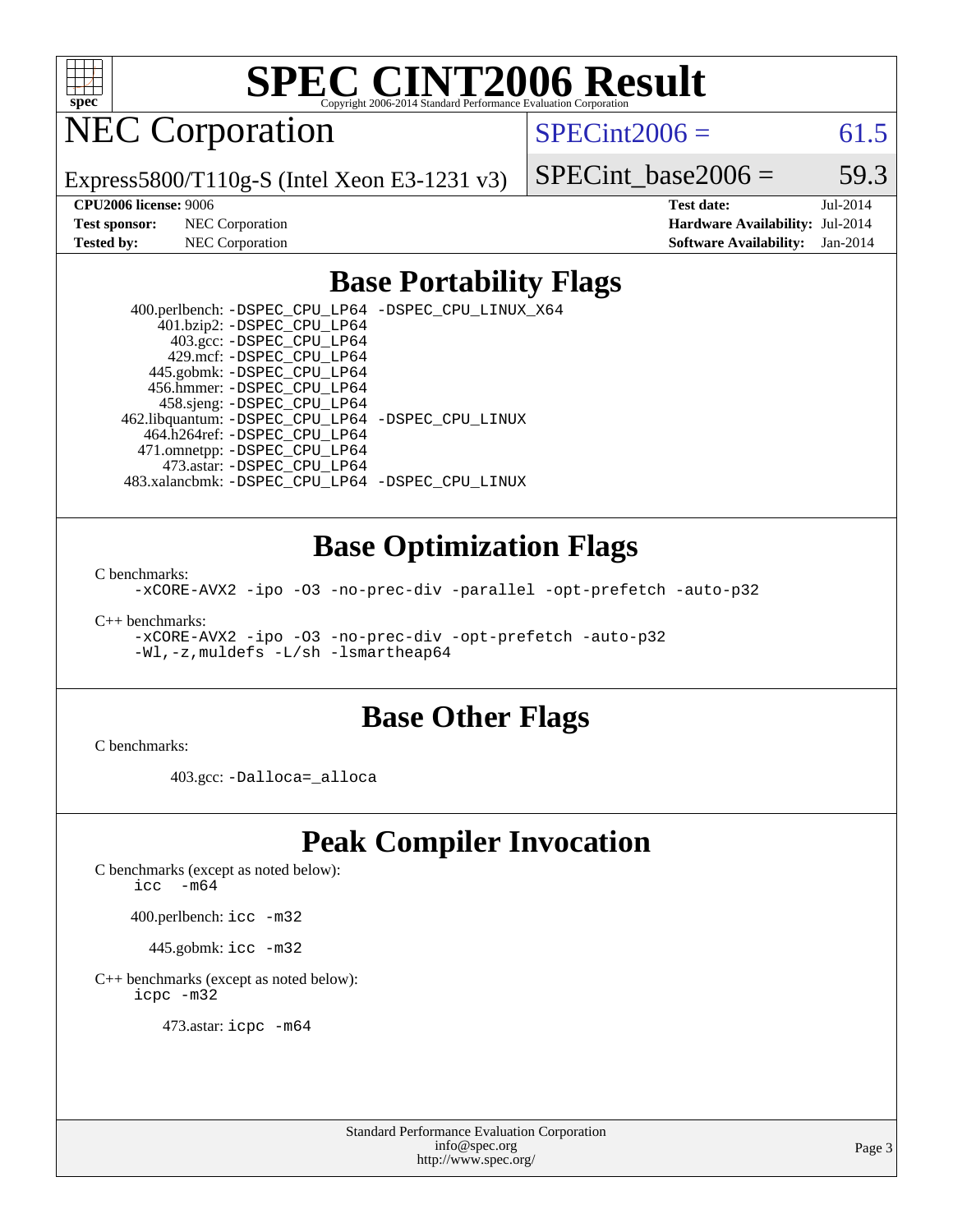

NEC Corporation

 $SPECint2006 = 61.5$  $SPECint2006 = 61.5$ 

Express5800/T110g-S (Intel Xeon E3-1231 v3)

SPECint base2006 =  $59.3$ **[CPU2006 license:](http://www.spec.org/auto/cpu2006/Docs/result-fields.html#CPU2006license)** 9006 **[Test date:](http://www.spec.org/auto/cpu2006/Docs/result-fields.html#Testdate)** Jul-2014

**[Test sponsor:](http://www.spec.org/auto/cpu2006/Docs/result-fields.html#Testsponsor)** NEC Corporation **[Hardware Availability:](http://www.spec.org/auto/cpu2006/Docs/result-fields.html#HardwareAvailability)** Jul-2014 **[Tested by:](http://www.spec.org/auto/cpu2006/Docs/result-fields.html#Testedby)** NEC Corporation **[Software Availability:](http://www.spec.org/auto/cpu2006/Docs/result-fields.html#SoftwareAvailability)** Jan-2014

## **[Base Portability Flags](http://www.spec.org/auto/cpu2006/Docs/result-fields.html#BasePortabilityFlags)**

 400.perlbench: [-DSPEC\\_CPU\\_LP64](http://www.spec.org/cpu2006/results/res2014q3/cpu2006-20140806-30790.flags.html#b400.perlbench_basePORTABILITY_DSPEC_CPU_LP64) [-DSPEC\\_CPU\\_LINUX\\_X64](http://www.spec.org/cpu2006/results/res2014q3/cpu2006-20140806-30790.flags.html#b400.perlbench_baseCPORTABILITY_DSPEC_CPU_LINUX_X64) 401.bzip2: [-DSPEC\\_CPU\\_LP64](http://www.spec.org/cpu2006/results/res2014q3/cpu2006-20140806-30790.flags.html#suite_basePORTABILITY401_bzip2_DSPEC_CPU_LP64) 403.gcc: [-DSPEC\\_CPU\\_LP64](http://www.spec.org/cpu2006/results/res2014q3/cpu2006-20140806-30790.flags.html#suite_basePORTABILITY403_gcc_DSPEC_CPU_LP64) 429.mcf: [-DSPEC\\_CPU\\_LP64](http://www.spec.org/cpu2006/results/res2014q3/cpu2006-20140806-30790.flags.html#suite_basePORTABILITY429_mcf_DSPEC_CPU_LP64) 445.gobmk: [-DSPEC\\_CPU\\_LP64](http://www.spec.org/cpu2006/results/res2014q3/cpu2006-20140806-30790.flags.html#suite_basePORTABILITY445_gobmk_DSPEC_CPU_LP64) 456.hmmer: [-DSPEC\\_CPU\\_LP64](http://www.spec.org/cpu2006/results/res2014q3/cpu2006-20140806-30790.flags.html#suite_basePORTABILITY456_hmmer_DSPEC_CPU_LP64) 458.sjeng: [-DSPEC\\_CPU\\_LP64](http://www.spec.org/cpu2006/results/res2014q3/cpu2006-20140806-30790.flags.html#suite_basePORTABILITY458_sjeng_DSPEC_CPU_LP64) 462.libquantum: [-DSPEC\\_CPU\\_LP64](http://www.spec.org/cpu2006/results/res2014q3/cpu2006-20140806-30790.flags.html#suite_basePORTABILITY462_libquantum_DSPEC_CPU_LP64) [-DSPEC\\_CPU\\_LINUX](http://www.spec.org/cpu2006/results/res2014q3/cpu2006-20140806-30790.flags.html#b462.libquantum_baseCPORTABILITY_DSPEC_CPU_LINUX) 464.h264ref: [-DSPEC\\_CPU\\_LP64](http://www.spec.org/cpu2006/results/res2014q3/cpu2006-20140806-30790.flags.html#suite_basePORTABILITY464_h264ref_DSPEC_CPU_LP64) 471.omnetpp: [-DSPEC\\_CPU\\_LP64](http://www.spec.org/cpu2006/results/res2014q3/cpu2006-20140806-30790.flags.html#suite_basePORTABILITY471_omnetpp_DSPEC_CPU_LP64) 473.astar: [-DSPEC\\_CPU\\_LP64](http://www.spec.org/cpu2006/results/res2014q3/cpu2006-20140806-30790.flags.html#suite_basePORTABILITY473_astar_DSPEC_CPU_LP64) 483.xalancbmk: [-DSPEC\\_CPU\\_LP64](http://www.spec.org/cpu2006/results/res2014q3/cpu2006-20140806-30790.flags.html#suite_basePORTABILITY483_xalancbmk_DSPEC_CPU_LP64) [-DSPEC\\_CPU\\_LINUX](http://www.spec.org/cpu2006/results/res2014q3/cpu2006-20140806-30790.flags.html#b483.xalancbmk_baseCXXPORTABILITY_DSPEC_CPU_LINUX)

### **[Base Optimization Flags](http://www.spec.org/auto/cpu2006/Docs/result-fields.html#BaseOptimizationFlags)**

[C benchmarks](http://www.spec.org/auto/cpu2006/Docs/result-fields.html#Cbenchmarks):

[-xCORE-AVX2](http://www.spec.org/cpu2006/results/res2014q3/cpu2006-20140806-30790.flags.html#user_CCbase_f-xAVX2_5f5fc0cbe2c9f62c816d3e45806c70d7) [-ipo](http://www.spec.org/cpu2006/results/res2014q3/cpu2006-20140806-30790.flags.html#user_CCbase_f-ipo) [-O3](http://www.spec.org/cpu2006/results/res2014q3/cpu2006-20140806-30790.flags.html#user_CCbase_f-O3) [-no-prec-div](http://www.spec.org/cpu2006/results/res2014q3/cpu2006-20140806-30790.flags.html#user_CCbase_f-no-prec-div) [-parallel](http://www.spec.org/cpu2006/results/res2014q3/cpu2006-20140806-30790.flags.html#user_CCbase_f-parallel) [-opt-prefetch](http://www.spec.org/cpu2006/results/res2014q3/cpu2006-20140806-30790.flags.html#user_CCbase_f-opt-prefetch) [-auto-p32](http://www.spec.org/cpu2006/results/res2014q3/cpu2006-20140806-30790.flags.html#user_CCbase_f-auto-p32)

[C++ benchmarks:](http://www.spec.org/auto/cpu2006/Docs/result-fields.html#CXXbenchmarks)

[-xCORE-AVX2](http://www.spec.org/cpu2006/results/res2014q3/cpu2006-20140806-30790.flags.html#user_CXXbase_f-xAVX2_5f5fc0cbe2c9f62c816d3e45806c70d7) [-ipo](http://www.spec.org/cpu2006/results/res2014q3/cpu2006-20140806-30790.flags.html#user_CXXbase_f-ipo) [-O3](http://www.spec.org/cpu2006/results/res2014q3/cpu2006-20140806-30790.flags.html#user_CXXbase_f-O3) [-no-prec-div](http://www.spec.org/cpu2006/results/res2014q3/cpu2006-20140806-30790.flags.html#user_CXXbase_f-no-prec-div) [-opt-prefetch](http://www.spec.org/cpu2006/results/res2014q3/cpu2006-20140806-30790.flags.html#user_CXXbase_f-opt-prefetch) [-auto-p32](http://www.spec.org/cpu2006/results/res2014q3/cpu2006-20140806-30790.flags.html#user_CXXbase_f-auto-p32) [-Wl,-z,muldefs](http://www.spec.org/cpu2006/results/res2014q3/cpu2006-20140806-30790.flags.html#user_CXXbase_link_force_multiple1_74079c344b956b9658436fd1b6dd3a8a) [-L/sh -lsmartheap64](http://www.spec.org/cpu2006/results/res2014q3/cpu2006-20140806-30790.flags.html#user_CXXbase_SmartHeap64_ed4ef857ce90951921efb0d91eb88472)

### **[Base Other Flags](http://www.spec.org/auto/cpu2006/Docs/result-fields.html#BaseOtherFlags)**

[C benchmarks](http://www.spec.org/auto/cpu2006/Docs/result-fields.html#Cbenchmarks):

403.gcc: [-Dalloca=\\_alloca](http://www.spec.org/cpu2006/results/res2014q3/cpu2006-20140806-30790.flags.html#b403.gcc_baseEXTRA_CFLAGS_Dalloca_be3056838c12de2578596ca5467af7f3)

# **[Peak Compiler Invocation](http://www.spec.org/auto/cpu2006/Docs/result-fields.html#PeakCompilerInvocation)**

[C benchmarks \(except as noted below\)](http://www.spec.org/auto/cpu2006/Docs/result-fields.html#Cbenchmarksexceptasnotedbelow):

icc  $-m64$ 

400.perlbench: [icc -m32](http://www.spec.org/cpu2006/results/res2014q3/cpu2006-20140806-30790.flags.html#user_peakCCLD400_perlbench_intel_icc_a6a621f8d50482236b970c6ac5f55f93)

445.gobmk: [icc -m32](http://www.spec.org/cpu2006/results/res2014q3/cpu2006-20140806-30790.flags.html#user_peakCCLD445_gobmk_intel_icc_a6a621f8d50482236b970c6ac5f55f93)

[C++ benchmarks \(except as noted below\):](http://www.spec.org/auto/cpu2006/Docs/result-fields.html#CXXbenchmarksexceptasnotedbelow) [icpc -m32](http://www.spec.org/cpu2006/results/res2014q3/cpu2006-20140806-30790.flags.html#user_CXXpeak_intel_icpc_4e5a5ef1a53fd332b3c49e69c3330699)

473.astar: [icpc -m64](http://www.spec.org/cpu2006/results/res2014q3/cpu2006-20140806-30790.flags.html#user_peakCXXLD473_astar_intel_icpc_64bit_fc66a5337ce925472a5c54ad6a0de310)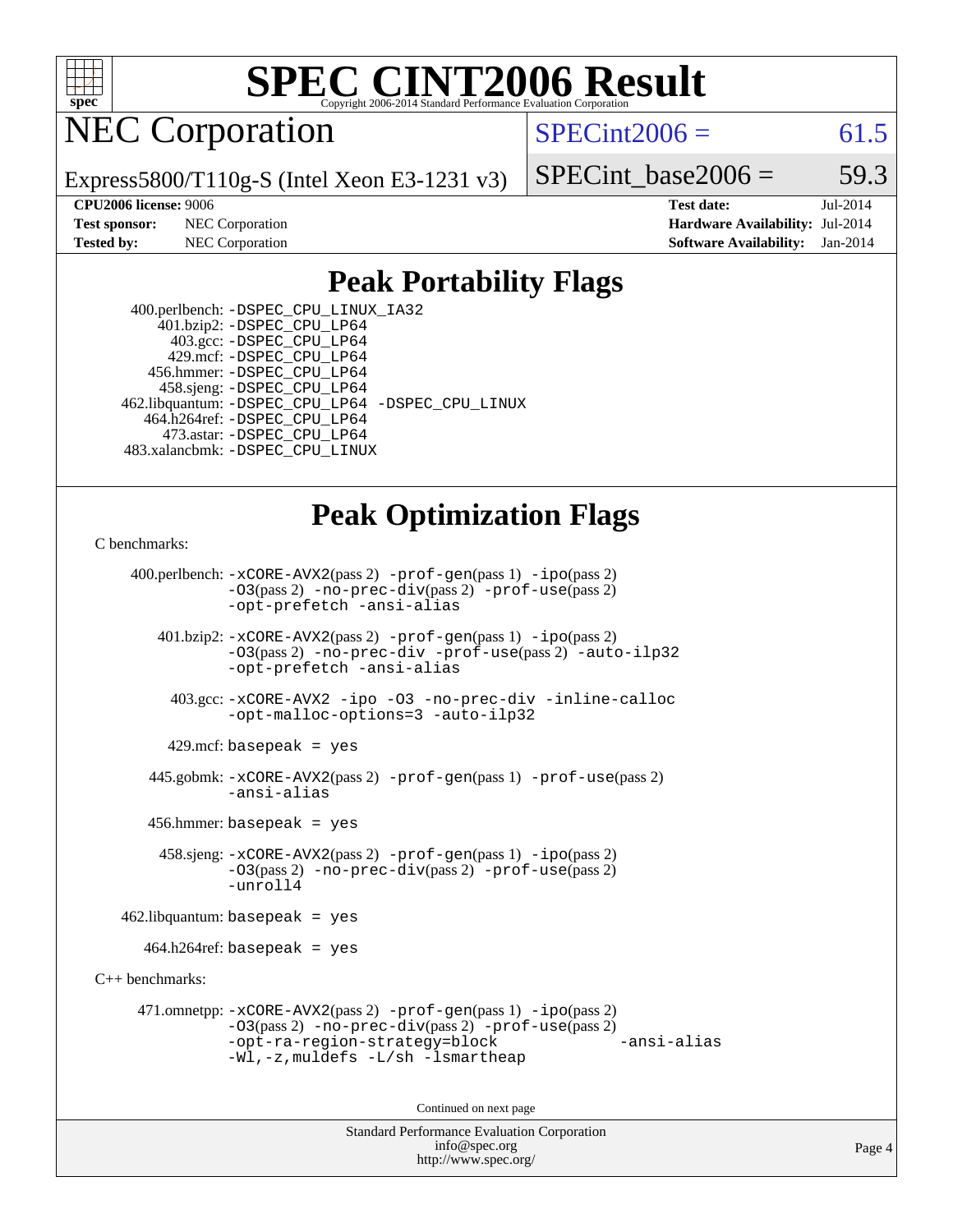

# NEC Corporation

 $SPECint2006 = 61.5$  $SPECint2006 = 61.5$ 

Express5800/T110g-S (Intel Xeon E3-1231 v3)

SPECint base2006 =  $59.3$ 

**[Test sponsor:](http://www.spec.org/auto/cpu2006/Docs/result-fields.html#Testsponsor)** NEC Corporation **[Hardware Availability:](http://www.spec.org/auto/cpu2006/Docs/result-fields.html#HardwareAvailability)** Jul-2014

**[CPU2006 license:](http://www.spec.org/auto/cpu2006/Docs/result-fields.html#CPU2006license)** 9006 **[Test date:](http://www.spec.org/auto/cpu2006/Docs/result-fields.html#Testdate)** Jul-2014 **[Tested by:](http://www.spec.org/auto/cpu2006/Docs/result-fields.html#Testedby)** NEC Corporation **[Software Availability:](http://www.spec.org/auto/cpu2006/Docs/result-fields.html#SoftwareAvailability)** Jan-2014

# **[Peak Portability Flags](http://www.spec.org/auto/cpu2006/Docs/result-fields.html#PeakPortabilityFlags)**

 400.perlbench: [-DSPEC\\_CPU\\_LINUX\\_IA32](http://www.spec.org/cpu2006/results/res2014q3/cpu2006-20140806-30790.flags.html#b400.perlbench_peakCPORTABILITY_DSPEC_CPU_LINUX_IA32) 401.bzip2: [-DSPEC\\_CPU\\_LP64](http://www.spec.org/cpu2006/results/res2014q3/cpu2006-20140806-30790.flags.html#suite_peakPORTABILITY401_bzip2_DSPEC_CPU_LP64) 403.gcc: [-DSPEC\\_CPU\\_LP64](http://www.spec.org/cpu2006/results/res2014q3/cpu2006-20140806-30790.flags.html#suite_peakPORTABILITY403_gcc_DSPEC_CPU_LP64) 429.mcf: [-DSPEC\\_CPU\\_LP64](http://www.spec.org/cpu2006/results/res2014q3/cpu2006-20140806-30790.flags.html#suite_peakPORTABILITY429_mcf_DSPEC_CPU_LP64) 456.hmmer: [-DSPEC\\_CPU\\_LP64](http://www.spec.org/cpu2006/results/res2014q3/cpu2006-20140806-30790.flags.html#suite_peakPORTABILITY456_hmmer_DSPEC_CPU_LP64) 458.sjeng: [-DSPEC\\_CPU\\_LP64](http://www.spec.org/cpu2006/results/res2014q3/cpu2006-20140806-30790.flags.html#suite_peakPORTABILITY458_sjeng_DSPEC_CPU_LP64) 462.libquantum: [-DSPEC\\_CPU\\_LP64](http://www.spec.org/cpu2006/results/res2014q3/cpu2006-20140806-30790.flags.html#suite_peakPORTABILITY462_libquantum_DSPEC_CPU_LP64) [-DSPEC\\_CPU\\_LINUX](http://www.spec.org/cpu2006/results/res2014q3/cpu2006-20140806-30790.flags.html#b462.libquantum_peakCPORTABILITY_DSPEC_CPU_LINUX) 464.h264ref: [-DSPEC\\_CPU\\_LP64](http://www.spec.org/cpu2006/results/res2014q3/cpu2006-20140806-30790.flags.html#suite_peakPORTABILITY464_h264ref_DSPEC_CPU_LP64) 473.astar: [-DSPEC\\_CPU\\_LP64](http://www.spec.org/cpu2006/results/res2014q3/cpu2006-20140806-30790.flags.html#suite_peakPORTABILITY473_astar_DSPEC_CPU_LP64) 483.xalancbmk: [-DSPEC\\_CPU\\_LINUX](http://www.spec.org/cpu2006/results/res2014q3/cpu2006-20140806-30790.flags.html#b483.xalancbmk_peakCXXPORTABILITY_DSPEC_CPU_LINUX)

## **[Peak Optimization Flags](http://www.spec.org/auto/cpu2006/Docs/result-fields.html#PeakOptimizationFlags)**

#### [C benchmarks](http://www.spec.org/auto/cpu2006/Docs/result-fields.html#Cbenchmarks):

 400.perlbench: [-xCORE-AVX2](http://www.spec.org/cpu2006/results/res2014q3/cpu2006-20140806-30790.flags.html#user_peakPASS2_CFLAGSPASS2_LDCFLAGS400_perlbench_f-xAVX2_5f5fc0cbe2c9f62c816d3e45806c70d7)(pass 2) [-prof-gen](http://www.spec.org/cpu2006/results/res2014q3/cpu2006-20140806-30790.flags.html#user_peakPASS1_CFLAGSPASS1_LDCFLAGS400_perlbench_prof_gen_e43856698f6ca7b7e442dfd80e94a8fc)(pass 1) [-ipo](http://www.spec.org/cpu2006/results/res2014q3/cpu2006-20140806-30790.flags.html#user_peakPASS2_CFLAGSPASS2_LDCFLAGS400_perlbench_f-ipo)(pass 2) [-O3](http://www.spec.org/cpu2006/results/res2014q3/cpu2006-20140806-30790.flags.html#user_peakPASS2_CFLAGSPASS2_LDCFLAGS400_perlbench_f-O3)(pass 2) [-no-prec-div](http://www.spec.org/cpu2006/results/res2014q3/cpu2006-20140806-30790.flags.html#user_peakPASS2_CFLAGSPASS2_LDCFLAGS400_perlbench_f-no-prec-div)(pass 2) [-prof-use](http://www.spec.org/cpu2006/results/res2014q3/cpu2006-20140806-30790.flags.html#user_peakPASS2_CFLAGSPASS2_LDCFLAGS400_perlbench_prof_use_bccf7792157ff70d64e32fe3e1250b55)(pass 2) [-opt-prefetch](http://www.spec.org/cpu2006/results/res2014q3/cpu2006-20140806-30790.flags.html#user_peakCOPTIMIZE400_perlbench_f-opt-prefetch) [-ansi-alias](http://www.spec.org/cpu2006/results/res2014q3/cpu2006-20140806-30790.flags.html#user_peakCOPTIMIZE400_perlbench_f-ansi-alias) 401.bzip2: [-xCORE-AVX2](http://www.spec.org/cpu2006/results/res2014q3/cpu2006-20140806-30790.flags.html#user_peakPASS2_CFLAGSPASS2_LDCFLAGS401_bzip2_f-xAVX2_5f5fc0cbe2c9f62c816d3e45806c70d7)(pass 2) [-prof-gen](http://www.spec.org/cpu2006/results/res2014q3/cpu2006-20140806-30790.flags.html#user_peakPASS1_CFLAGSPASS1_LDCFLAGS401_bzip2_prof_gen_e43856698f6ca7b7e442dfd80e94a8fc)(pass 1) [-ipo](http://www.spec.org/cpu2006/results/res2014q3/cpu2006-20140806-30790.flags.html#user_peakPASS2_CFLAGSPASS2_LDCFLAGS401_bzip2_f-ipo)(pass 2) [-O3](http://www.spec.org/cpu2006/results/res2014q3/cpu2006-20140806-30790.flags.html#user_peakPASS2_CFLAGSPASS2_LDCFLAGS401_bzip2_f-O3)(pass 2) [-no-prec-div](http://www.spec.org/cpu2006/results/res2014q3/cpu2006-20140806-30790.flags.html#user_peakCOPTIMIZEPASS2_CFLAGSPASS2_LDCFLAGS401_bzip2_f-no-prec-div) [-prof-use](http://www.spec.org/cpu2006/results/res2014q3/cpu2006-20140806-30790.flags.html#user_peakPASS2_CFLAGSPASS2_LDCFLAGS401_bzip2_prof_use_bccf7792157ff70d64e32fe3e1250b55)(pass 2) [-auto-ilp32](http://www.spec.org/cpu2006/results/res2014q3/cpu2006-20140806-30790.flags.html#user_peakCOPTIMIZE401_bzip2_f-auto-ilp32) [-opt-prefetch](http://www.spec.org/cpu2006/results/res2014q3/cpu2006-20140806-30790.flags.html#user_peakCOPTIMIZE401_bzip2_f-opt-prefetch) [-ansi-alias](http://www.spec.org/cpu2006/results/res2014q3/cpu2006-20140806-30790.flags.html#user_peakCOPTIMIZE401_bzip2_f-ansi-alias) 403.gcc: [-xCORE-AVX2](http://www.spec.org/cpu2006/results/res2014q3/cpu2006-20140806-30790.flags.html#user_peakCOPTIMIZE403_gcc_f-xAVX2_5f5fc0cbe2c9f62c816d3e45806c70d7) [-ipo](http://www.spec.org/cpu2006/results/res2014q3/cpu2006-20140806-30790.flags.html#user_peakCOPTIMIZE403_gcc_f-ipo) [-O3](http://www.spec.org/cpu2006/results/res2014q3/cpu2006-20140806-30790.flags.html#user_peakCOPTIMIZE403_gcc_f-O3) [-no-prec-div](http://www.spec.org/cpu2006/results/res2014q3/cpu2006-20140806-30790.flags.html#user_peakCOPTIMIZE403_gcc_f-no-prec-div) [-inline-calloc](http://www.spec.org/cpu2006/results/res2014q3/cpu2006-20140806-30790.flags.html#user_peakCOPTIMIZE403_gcc_f-inline-calloc) [-opt-malloc-options=3](http://www.spec.org/cpu2006/results/res2014q3/cpu2006-20140806-30790.flags.html#user_peakCOPTIMIZE403_gcc_f-opt-malloc-options_13ab9b803cf986b4ee62f0a5998c2238) [-auto-ilp32](http://www.spec.org/cpu2006/results/res2014q3/cpu2006-20140806-30790.flags.html#user_peakCOPTIMIZE403_gcc_f-auto-ilp32)  $429$ .mcf: basepeak = yes 445.gobmk: [-xCORE-AVX2](http://www.spec.org/cpu2006/results/res2014q3/cpu2006-20140806-30790.flags.html#user_peakPASS2_CFLAGSPASS2_LDCFLAGS445_gobmk_f-xAVX2_5f5fc0cbe2c9f62c816d3e45806c70d7)(pass 2) [-prof-gen](http://www.spec.org/cpu2006/results/res2014q3/cpu2006-20140806-30790.flags.html#user_peakPASS1_CFLAGSPASS1_LDCFLAGS445_gobmk_prof_gen_e43856698f6ca7b7e442dfd80e94a8fc)(pass 1) [-prof-use](http://www.spec.org/cpu2006/results/res2014q3/cpu2006-20140806-30790.flags.html#user_peakPASS2_CFLAGSPASS2_LDCFLAGS445_gobmk_prof_use_bccf7792157ff70d64e32fe3e1250b55)(pass 2) [-ansi-alias](http://www.spec.org/cpu2006/results/res2014q3/cpu2006-20140806-30790.flags.html#user_peakCOPTIMIZE445_gobmk_f-ansi-alias) 456.hmmer: basepeak = yes 458.sjeng: [-xCORE-AVX2](http://www.spec.org/cpu2006/results/res2014q3/cpu2006-20140806-30790.flags.html#user_peakPASS2_CFLAGSPASS2_LDCFLAGS458_sjeng_f-xAVX2_5f5fc0cbe2c9f62c816d3e45806c70d7)(pass 2) [-prof-gen](http://www.spec.org/cpu2006/results/res2014q3/cpu2006-20140806-30790.flags.html#user_peakPASS1_CFLAGSPASS1_LDCFLAGS458_sjeng_prof_gen_e43856698f6ca7b7e442dfd80e94a8fc)(pass 1) [-ipo](http://www.spec.org/cpu2006/results/res2014q3/cpu2006-20140806-30790.flags.html#user_peakPASS2_CFLAGSPASS2_LDCFLAGS458_sjeng_f-ipo)(pass 2) [-O3](http://www.spec.org/cpu2006/results/res2014q3/cpu2006-20140806-30790.flags.html#user_peakPASS2_CFLAGSPASS2_LDCFLAGS458_sjeng_f-O3)(pass 2) [-no-prec-div](http://www.spec.org/cpu2006/results/res2014q3/cpu2006-20140806-30790.flags.html#user_peakPASS2_CFLAGSPASS2_LDCFLAGS458_sjeng_f-no-prec-div)(pass 2) [-prof-use](http://www.spec.org/cpu2006/results/res2014q3/cpu2006-20140806-30790.flags.html#user_peakPASS2_CFLAGSPASS2_LDCFLAGS458_sjeng_prof_use_bccf7792157ff70d64e32fe3e1250b55)(pass 2) [-unroll4](http://www.spec.org/cpu2006/results/res2014q3/cpu2006-20140806-30790.flags.html#user_peakCOPTIMIZE458_sjeng_f-unroll_4e5e4ed65b7fd20bdcd365bec371b81f)  $462$ .libquantum: basepeak = yes  $464.h264$ ref: basepeak = yes [C++ benchmarks:](http://www.spec.org/auto/cpu2006/Docs/result-fields.html#CXXbenchmarks) 471.omnetpp: [-xCORE-AVX2](http://www.spec.org/cpu2006/results/res2014q3/cpu2006-20140806-30790.flags.html#user_peakPASS2_CXXFLAGSPASS2_LDCXXFLAGS471_omnetpp_f-xAVX2_5f5fc0cbe2c9f62c816d3e45806c70d7)(pass 2) [-prof-gen](http://www.spec.org/cpu2006/results/res2014q3/cpu2006-20140806-30790.flags.html#user_peakPASS1_CXXFLAGSPASS1_LDCXXFLAGS471_omnetpp_prof_gen_e43856698f6ca7b7e442dfd80e94a8fc)(pass 1) [-ipo](http://www.spec.org/cpu2006/results/res2014q3/cpu2006-20140806-30790.flags.html#user_peakPASS2_CXXFLAGSPASS2_LDCXXFLAGS471_omnetpp_f-ipo)(pass 2) [-O3](http://www.spec.org/cpu2006/results/res2014q3/cpu2006-20140806-30790.flags.html#user_peakPASS2_CXXFLAGSPASS2_LDCXXFLAGS471_omnetpp_f-O3)(pass 2) [-no-prec-div](http://www.spec.org/cpu2006/results/res2014q3/cpu2006-20140806-30790.flags.html#user_peakPASS2_CXXFLAGSPASS2_LDCXXFLAGS471_omnetpp_f-no-prec-div)(pass 2) [-prof-use](http://www.spec.org/cpu2006/results/res2014q3/cpu2006-20140806-30790.flags.html#user_peakPASS2_CXXFLAGSPASS2_LDCXXFLAGS471_omnetpp_prof_use_bccf7792157ff70d64e32fe3e1250b55)(pass 2) [-opt-ra-region-strategy=block](http://www.spec.org/cpu2006/results/res2014q3/cpu2006-20140806-30790.flags.html#user_peakCXXOPTIMIZE471_omnetpp_f-opt-ra-region-strategy_5382940c29ea30302d682fc74bfe0147) [-ansi-alias](http://www.spec.org/cpu2006/results/res2014q3/cpu2006-20140806-30790.flags.html#user_peakCXXOPTIMIZE471_omnetpp_f-ansi-alias) [-Wl,-z,muldefs](http://www.spec.org/cpu2006/results/res2014q3/cpu2006-20140806-30790.flags.html#user_peakEXTRA_LDFLAGS471_omnetpp_link_force_multiple1_74079c344b956b9658436fd1b6dd3a8a) [-L/sh -lsmartheap](http://www.spec.org/cpu2006/results/res2014q3/cpu2006-20140806-30790.flags.html#user_peakEXTRA_LIBS471_omnetpp_SmartHeap_32f6c82aa1ed9c52345d30cf6e4a0499)

Continued on next page